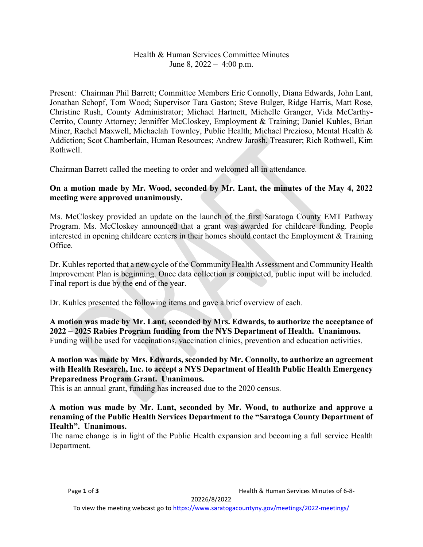# Health & Human Services Committee Minutes June 8,  $2022 - 4:00$  p.m.

Present: Chairman Phil Barrett; Committee Members Eric Connolly, Diana Edwards, John Lant, Jonathan Schopf, Tom Wood; Supervisor Tara Gaston; Steve Bulger, Ridge Harris, Matt Rose, Christine Rush, County Administrator; Michael Hartnett, Michelle Granger, Vida McCarthy-Cerrito, County Attorney; Jenniffer McCloskey, Employment & Training; Daniel Kuhles, Brian Miner, Rachel Maxwell, Michaelah Townley, Public Health; Michael Prezioso, Mental Health & Addiction; Scot Chamberlain, Human Resources; Andrew Jarosh, Treasurer; Rich Rothwell, Kim Rothwell.

Chairman Barrett called the meeting to order and welcomed all in attendance.

# **On a motion made by Mr. Wood, seconded by Mr. Lant, the minutes of the May 4, 2022 meeting were approved unanimously.**

Ms. McCloskey provided an update on the launch of the first Saratoga County EMT Pathway Program. Ms. McCloskey announced that a grant was awarded for childcare funding. People interested in opening childcare centers in their homes should contact the Employment & Training Office.

Dr. Kuhles reported that a new cycle of the Community Health Assessment and Community Health Improvement Plan is beginning. Once data collection is completed, public input will be included. Final report is due by the end of the year.

Dr. Kuhles presented the following items and gave a brief overview of each.

**A motion was made by Mr. Lant, seconded by Mrs. Edwards, to authorize the acceptance of 2022 – 2025 Rabies Program funding from the NYS Department of Health. Unanimous.** Funding will be used for vaccinations, vaccination clinics, prevention and education activities.

### **A motion was made by Mrs. Edwards, seconded by Mr. Connolly, to authorize an agreement with Health Research, Inc. to accept a NYS Department of Health Public Health Emergency Preparedness Program Grant. Unanimous.**

This is an annual grant, funding has increased due to the 2020 census.

#### **A motion was made by Mr. Lant, seconded by Mr. Wood, to authorize and approve a renaming of the Public Health Services Department to the "Saratoga County Department of Health". Unanimous.**

The name change is in light of the Public Health expansion and becoming a full service Health Department.

Page 1 of 3 **Page 1** of 3

20226/8/2022

To view the meeting webcast go t[o https://www.saratogacountyny.gov/meetings/2022-meetings/](https://www.saratogacountyny.gov/meetings/2022-meetings/)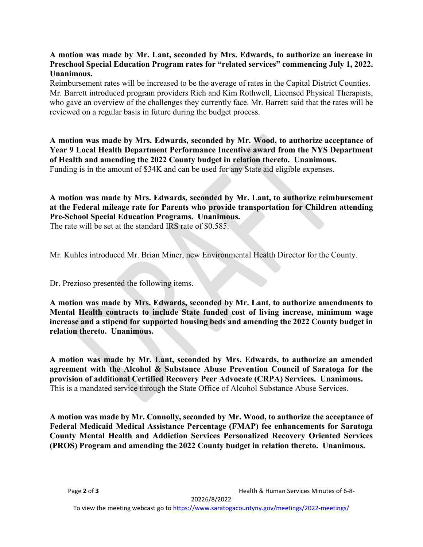# **A motion was made by Mr. Lant, seconded by Mrs. Edwards, to authorize an increase in Preschool Special Education Program rates for "related services" commencing July 1, 2022. Unanimous.**

Reimbursement rates will be increased to be the average of rates in the Capital District Counties. Mr. Barrett introduced program providers Rich and Kim Rothwell, Licensed Physical Therapists, who gave an overview of the challenges they currently face. Mr. Barrett said that the rates will be reviewed on a regular basis in future during the budget process.

**A motion was made by Mrs. Edwards, seconded by Mr. Wood, to authorize acceptance of Year 9 Local Health Department Performance Incentive award from the NYS Department of Health and amending the 2022 County budget in relation thereto. Unanimous.** Funding is in the amount of \$34K and can be used for any State aid eligible expenses.

**A motion was made by Mrs. Edwards, seconded by Mr. Lant, to authorize reimbursement at the Federal mileage rate for Parents who provide transportation for Children attending Pre-School Special Education Programs. Unanimous.**

The rate will be set at the standard IRS rate of \$0.585.

Mr. Kuhles introduced Mr. Brian Miner, new Environmental Health Director for the County.

Dr. Prezioso presented the following items.

**A motion was made by Mrs. Edwards, seconded by Mr. Lant, to authorize amendments to Mental Health contracts to include State funded cost of living increase, minimum wage increase and a stipend for supported housing beds and amending the 2022 County budget in relation thereto. Unanimous.**

**A motion was made by Mr. Lant, seconded by Mrs. Edwards, to authorize an amended agreement with the Alcohol & Substance Abuse Prevention Council of Saratoga for the provision of additional Certified Recovery Peer Advocate (CRPA) Services. Unanimous.** This is a mandated service through the State Office of Alcohol Substance Abuse Services.

**A motion was made by Mr. Connolly, seconded by Mr. Wood, to authorize the acceptance of Federal Medicaid Medical Assistance Percentage (FMAP) fee enhancements for Saratoga County Mental Health and Addiction Services Personalized Recovery Oriented Services (PROS) Program and amending the 2022 County budget in relation thereto. Unanimous.**

20226/8/2022

To view the meeting webcast go t[o https://www.saratogacountyny.gov/meetings/2022-meetings/](https://www.saratogacountyny.gov/meetings/2022-meetings/)